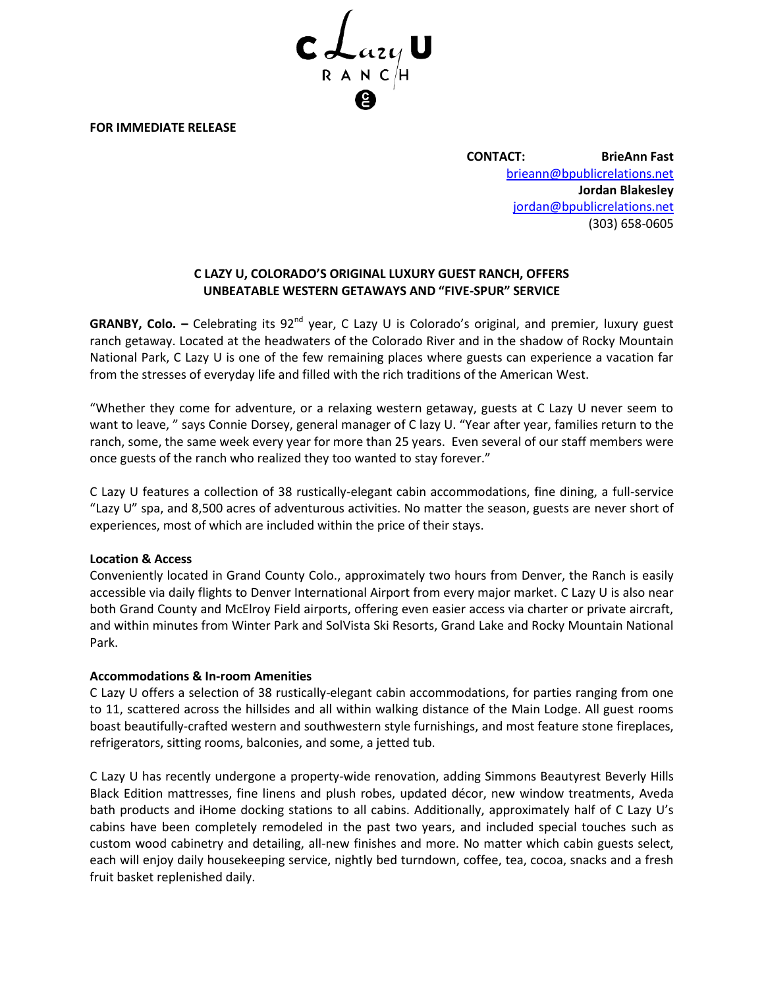

**FOR IMMEDIATE RELEASE**

**CONTACT: BrieAnn Fast** [brieann@bpublicrelations.net](mailto:brieann@bpublicrelations.net) **Jordan Blakesley** [jordan@bpublicrelations.net](mailto:jordanblakesley@gmail.com) (303) 658-0605

# **C LAZY U, COLORADO'S ORIGINAL LUXURY GUEST RANCH, OFFERS UNBEATABLE WESTERN GETAWAYS AND "FIVE-SPUR" SERVICE**

**GRANBY, Colo.** – Celebrating its 92<sup>nd</sup> year, C Lazy U is Colorado's original, and premier, luxury guest ranch getaway. Located at the headwaters of the Colorado River and in the shadow of Rocky Mountain National Park, C Lazy U is one of the few remaining places where guests can experience a vacation far from the stresses of everyday life and filled with the rich traditions of the American West.

"Whether they come for adventure, or a relaxing western getaway, guests at C Lazy U never seem to want to leave, " says Connie Dorsey, general manager of C lazy U. "Year after year, families return to the ranch, some, the same week every year for more than 25 years. Even several of our staff members were once guests of the ranch who realized they too wanted to stay forever."

C Lazy U features a collection of 38 rustically-elegant cabin accommodations, fine dining, a full-service "Lazy U" spa, and 8,500 acres of adventurous activities. No matter the season, guests are never short of experiences, most of which are included within the price of their stays.

# **Location & Access**

Conveniently located in Grand County Colo., approximately two hours from Denver, the Ranch is easily accessible via daily flights to Denver International Airport from every major market. C Lazy U is also near both Grand County and McElroy Field airports, offering even easier access via charter or private aircraft, and within minutes from Winter Park and SolVista Ski Resorts, Grand Lake and Rocky Mountain National Park.

# **Accommodations & In-room Amenities**

C Lazy U offers a selection of 38 rustically-elegant cabin accommodations, for parties ranging from one to 11, scattered across the hillsides and all within walking distance of the Main Lodge. All guest rooms boast beautifully-crafted western and southwestern style furnishings, and most feature stone fireplaces, refrigerators, sitting rooms, balconies, and some, a jetted tub.

C Lazy U has recently undergone a property-wide renovation, adding Simmons Beautyrest Beverly Hills Black Edition mattresses, fine linens and plush robes, updated décor, new window treatments, Aveda bath products and iHome docking stations to all cabins. Additionally, approximately half of C Lazy U's cabins have been completely remodeled in the past two years, and included special touches such as custom wood cabinetry and detailing, all-new finishes and more. No matter which cabin guests select, each will enjoy daily housekeeping service, nightly bed turndown, coffee, tea, cocoa, snacks and a fresh fruit basket replenished daily.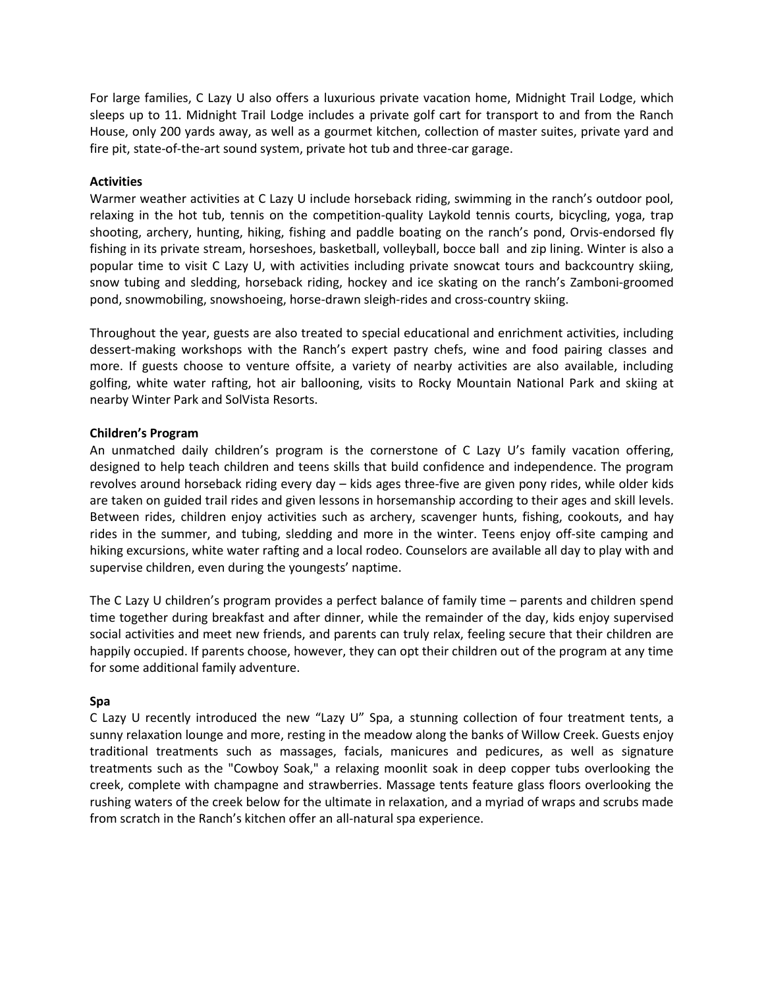For large families, C Lazy U also offers a luxurious private vacation home, Midnight Trail Lodge, which sleeps up to 11. Midnight Trail Lodge includes a private golf cart for transport to and from the Ranch House, only 200 yards away, as well as a gourmet kitchen, collection of master suites, private yard and fire pit, state-of-the-art sound system, private hot tub and three-car garage.

### **Activities**

Warmer weather activities at C Lazy U include horseback riding, swimming in the ranch's outdoor pool, relaxing in the hot tub, tennis on the competition-quality Laykold tennis courts, bicycling, yoga, trap shooting, archery, hunting, hiking, fishing and paddle boating on the ranch's pond, Orvis-endorsed fly fishing in its private stream, horseshoes, basketball, volleyball, bocce ball and zip lining. Winter is also a popular time to visit C Lazy U, with activities including private snowcat tours and backcountry skiing, snow tubing and sledding, horseback riding, hockey and ice skating on the ranch's Zamboni-groomed pond, snowmobiling, snowshoeing, horse-drawn sleigh-rides and cross-country skiing.

Throughout the year, guests are also treated to special educational and enrichment activities, including dessert-making workshops with the Ranch's expert pastry chefs, wine and food pairing classes and more. If guests choose to venture offsite, a variety of nearby activities are also available, including golfing, white water rafting, hot air ballooning, visits to Rocky Mountain National Park and skiing at nearby Winter Park and SolVista Resorts.

### **Children's Program**

An unmatched daily children's program is the cornerstone of C Lazy U's family vacation offering, designed to help teach children and teens skills that build confidence and independence. The program revolves around horseback riding every day – kids ages three-five are given pony rides, while older kids are taken on guided trail rides and given lessons in horsemanship according to their ages and skill levels. Between rides, children enjoy activities such as archery, scavenger hunts, fishing, cookouts, and hay rides in the summer, and tubing, sledding and more in the winter. Teens enjoy off-site camping and hiking excursions, white water rafting and a local rodeo. Counselors are available all day to play with and supervise children, even during the youngests' naptime.

The C Lazy U children's program provides a perfect balance of family time – parents and children spend time together during breakfast and after dinner, while the remainder of the day, kids enjoy supervised social activities and meet new friends, and parents can truly relax, feeling secure that their children are happily occupied. If parents choose, however, they can opt their children out of the program at any time for some additional family adventure.

### **Spa**

C Lazy U recently introduced the new "Lazy U" Spa, a stunning collection of four treatment tents, a sunny relaxation lounge and more, resting in the meadow along the banks of Willow Creek. Guests enjoy traditional treatments such as massages, facials, manicures and pedicures, as well as signature treatments such as the "Cowboy Soak," a relaxing moonlit soak in deep copper tubs overlooking the creek, complete with champagne and strawberries. Massage tents feature glass floors overlooking the rushing waters of the creek below for the ultimate in relaxation, and a myriad of wraps and scrubs made from scratch in the Ranch's kitchen offer an all-natural spa experience.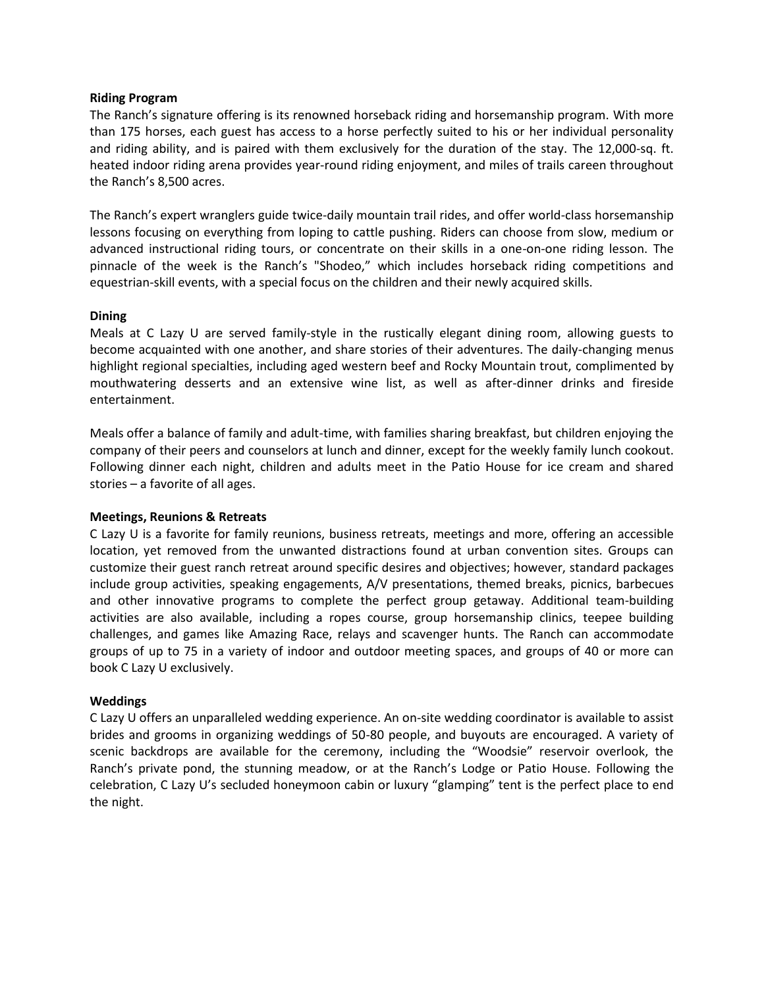### **Riding Program**

The Ranch's signature offering is its renowned horseback riding and horsemanship program. With more than 175 horses, each guest has access to a horse perfectly suited to his or her individual personality and riding ability, and is paired with them exclusively for the duration of the stay. The 12,000-sq. ft. heated indoor riding arena provides year-round riding enjoyment, and miles of trails careen throughout the Ranch's 8,500 acres.

The Ranch's expert wranglers guide twice-daily mountain trail rides, and offer world-class horsemanship lessons focusing on everything from loping to cattle pushing. Riders can choose from slow, medium or advanced instructional riding tours, or concentrate on their skills in a one-on-one riding lesson. The pinnacle of the week is the Ranch's "Shodeo," which includes horseback riding competitions and equestrian-skill events, with a special focus on the children and their newly acquired skills.

### **Dining**

Meals at C Lazy U are served family-style in the rustically elegant dining room, allowing guests to become acquainted with one another, and share stories of their adventures. The daily-changing menus highlight regional specialties, including aged western beef and Rocky Mountain trout, complimented by mouthwatering desserts and an extensive wine list, as well as after-dinner drinks and fireside entertainment.

Meals offer a balance of family and adult-time, with families sharing breakfast, but children enjoying the company of their peers and counselors at lunch and dinner, except for the weekly family lunch cookout. Following dinner each night, children and adults meet in the Patio House for ice cream and shared stories – a favorite of all ages.

### **Meetings, Reunions & Retreats**

C Lazy U is a favorite for family reunions, business retreats, meetings and more, offering an accessible location, yet removed from the unwanted distractions found at urban convention sites. Groups can customize their guest ranch retreat around specific desires and objectives; however, standard packages include group activities, speaking engagements, A/V presentations, themed breaks, picnics, barbecues and other innovative programs to complete the perfect group getaway. Additional team-building activities are also available, including a ropes course, group horsemanship clinics, teepee building challenges, and games like Amazing Race, relays and scavenger hunts. The Ranch can accommodate groups of up to 75 in a variety of indoor and outdoor meeting spaces, and groups of 40 or more can book C Lazy U exclusively.

# **Weddings**

C Lazy U offers an unparalleled wedding experience. An on-site wedding coordinator is available to assist brides and grooms in organizing weddings of 50-80 people, and buyouts are encouraged. A variety of scenic backdrops are available for the ceremony, including the "Woodsie" reservoir overlook, the Ranch's private pond, the stunning meadow, or at the Ranch's Lodge or Patio House. Following the celebration, C Lazy U's secluded honeymoon cabin or luxury "glamping" tent is the perfect place to end the night.